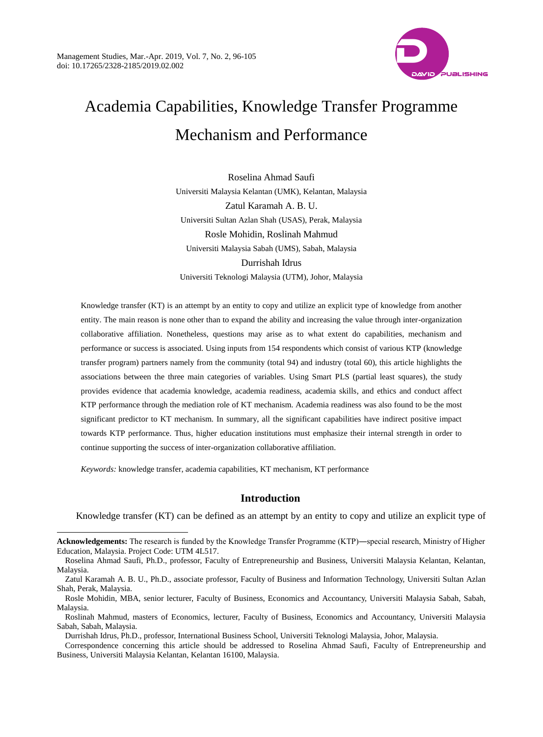

# Academia Capabilities, Knowledge Transfer Programme Mechanism and Performance

Roselina Ahmad Saufi Universiti Malaysia Kelantan (UMK), Kelantan, Malaysia Zatul Karamah A. B. U. Universiti Sultan Azlan Shah (USAS), Perak, Malaysia Rosle Mohidin, Roslinah Mahmud Universiti Malaysia Sabah (UMS), Sabah, Malaysia Durrishah Idrus Universiti Teknologi Malaysia (UTM), Johor, Malaysia

Knowledge transfer (KT) is an attempt by an entity to copy and utilize an explicit type of knowledge from another entity. The main reason is none other than to expand the ability and increasing the value through inter-organization collaborative affiliation. Nonetheless, questions may arise as to what extent do capabilities, mechanism and performance or success is associated. Using inputs from 154 respondents which consist of various KTP (knowledge transfer program) partners namely from the community (total 94) and industry (total 60), this article highlights the associations between the three main categories of variables. Using Smart PLS (partial least squares), the study provides evidence that academia knowledge, academia readiness, academia skills, and ethics and conduct affect KTP performance through the mediation role of KT mechanism. Academia readiness was also found to be the most significant predictor to KT mechanism. In summary, all the significant capabilities have indirect positive impact towards KTP performance. Thus, higher education institutions must emphasize their internal strength in order to continue supporting the success of inter-organization collaborative affiliation.

*Keywords:* knowledge transfer, academia capabilities, KT mechanism, KT performance

 $\overline{a}$ 

## **Introduction**

Knowledge transfer (KT) can be defined as an attempt by an entity to copy and utilize an explicit type of

**Acknowledgements:** The research is funded by the Knowledge Transfer Programme (KTP)―special research, Ministry of Higher Education, Malaysia. Project Code: UTM 4L517.

Roselina Ahmad Saufi, Ph.D., professor, Faculty of Entrepreneurship and Business, Universiti Malaysia Kelantan, Kelantan, Malaysia.

Zatul Karamah A. B. U., Ph.D., associate professor, Faculty of Business and Information Technology, Universiti Sultan Azlan Shah, Perak, Malaysia.

Rosle Mohidin, MBA, senior lecturer, Faculty of Business, Economics and Accountancy, Universiti Malaysia Sabah, Sabah, Malaysia.

Roslinah Mahmud, masters of Economics, lecturer, Faculty of Business, Economics and Accountancy, Universiti Malaysia Sabah, Sabah, Malaysia.

Durrishah Idrus, Ph.D., professor, International Business School, Universiti Teknologi Malaysia, Johor, Malaysia.

Correspondence concerning this article should be addressed to Roselina Ahmad Saufi, Faculty of Entrepreneurship and Business, Universiti Malaysia Kelantan, Kelantan [16100,](http://global.bing.com/maps?&ty=18&q=Universiti%20Malaysia%20Kelantan&satid=id.sid%3a5d9c4fb2-3ca3-04a8-9e23-52a005f5f17f&ppois=6.1644401550293_102.282501220703_Universiti%20Malaysia%20Kelantan_~&cp=6.16444~102.282501&v=2&sV=1) Malaysia.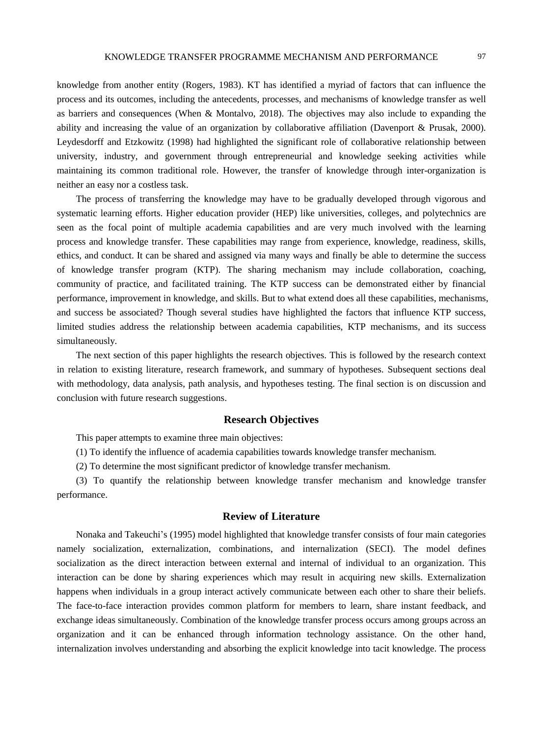knowledge from another entity (Rogers, 1983). KT has identified a myriad of factors that can influence the process and its outcomes, including the antecedents, processes, and mechanisms of knowledge transfer as well as barriers and consequences (When & Montalvo, 2018). The objectives may also include to expanding the ability and increasing the value of an organization by collaborative affiliation (Davenport & Prusak, 2000). Leydesdorff and Etzkowitz (1998) had highlighted the significant role of collaborative relationship between university, industry, and government through entrepreneurial and knowledge seeking activities while maintaining its common traditional role. However, the transfer of knowledge through inter-organization is neither an easy nor a costless task.

The process of transferring the knowledge may have to be gradually developed through vigorous and systematic learning efforts. Higher education provider (HEP) like universities, colleges, and polytechnics are seen as the focal point of multiple academia capabilities and are very much involved with the learning process and knowledge transfer. These capabilities may range from experience, knowledge, readiness, skills, ethics, and conduct. It can be shared and assigned via many ways and finally be able to determine the success of knowledge transfer program (KTP). The sharing mechanism may include collaboration, coaching, community of practice, and facilitated training. The KTP success can be demonstrated either by financial performance, improvement in knowledge, and skills. But to what extend does all these capabilities, mechanisms, and success be associated? Though several studies have highlighted the factors that influence KTP success, limited studies address the relationship between academia capabilities, KTP mechanisms, and its success simultaneously.

The next section of this paper highlights the research objectives. This is followed by the research context in relation to existing literature, research framework, and summary of hypotheses. Subsequent sections deal with methodology, data analysis, path analysis, and hypotheses testing. The final section is on discussion and conclusion with future research suggestions.

# **Research Objectives**

This paper attempts to examine three main objectives:

(1) To identify the influence of academia capabilities towards knowledge transfer mechanism.

(2) To determine the most significant predictor of knowledge transfer mechanism.

(3) To quantify the relationship between knowledge transfer mechanism and knowledge transfer performance.

# **Review of Literature**

Nonaka and Takeuchi's (1995) model highlighted that knowledge transfer consists of four main categories namely socialization, externalization, combinations, and internalization (SECI). The model defines socialization as the direct interaction between external and internal of individual to an organization. This interaction can be done by sharing experiences which may result in acquiring new skills. Externalization happens when individuals in a group interact actively communicate between each other to share their beliefs. The face-to-face interaction provides common platform for members to learn, share instant feedback, and exchange ideas simultaneously. Combination of the knowledge transfer process occurs among groups across an organization and it can be enhanced through information technology assistance. On the other hand, internalization involves understanding and absorbing the explicit knowledge into tacit knowledge. The process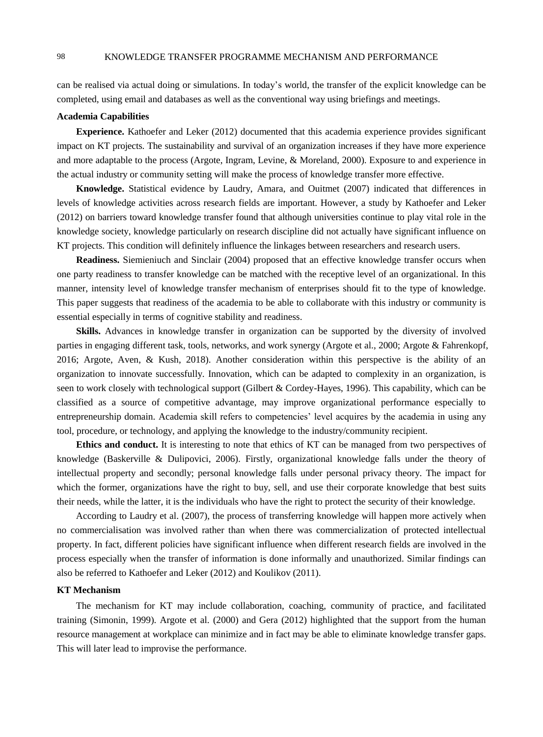can be realised via actual doing or simulations. In today's world, the transfer of the explicit knowledge can be completed, using email and databases as well as the conventional way using briefings and meetings.

## **Academia Capabilities**

**Experience.** Kathoefer and Leker (2012) documented that this academia experience provides significant impact on KT projects. The sustainability and survival of an organization increases if they have more experience and more adaptable to the process (Argote, Ingram, Levine, & Moreland, 2000). Exposure to and experience in the actual industry or community setting will make the process of knowledge transfer more effective.

**Knowledge.** Statistical evidence by Laudry, Amara, and Ouitmet (2007) indicated that differences in levels of knowledge activities across research fields are important. However, a study by Kathoefer and Leker (2012) on barriers toward knowledge transfer found that although universities continue to play vital role in the knowledge society, knowledge particularly on research discipline did not actually have significant influence on KT projects. This condition will definitely influence the linkages between researchers and research users.

**Readiness.** Siemieniuch and Sinclair (2004) proposed that an effective knowledge transfer occurs when one party readiness to transfer knowledge can be matched with the receptive level of an organizational. In this manner, intensity level of knowledge transfer mechanism of enterprises should fit to the type of knowledge. This paper suggests that readiness of the academia to be able to collaborate with this industry or community is essential especially in terms of cognitive stability and readiness.

**Skills.** Advances in knowledge transfer in organization can be supported by the diversity of involved parties in engaging different task, tools, networks, and work synergy (Argote et al., 2000; Argote & Fahrenkopf, 2016; Argote, Aven, & Kush, 2018). Another consideration within this perspective is the ability of an organization to innovate successfully. Innovation, which can be adapted to complexity in an organization, is seen to work closely with technological support (Gilbert & Cordey-Hayes, 1996). This capability, which can be classified as a source of competitive advantage, may improve organizational performance especially to entrepreneurship domain. Academia skill refers to competencies' level acquires by the academia in using any tool, procedure, or technology, and applying the knowledge to the industry/community recipient.

**Ethics and conduct.** It is interesting to note that ethics of KT can be managed from two perspectives of knowledge (Baskerville & Dulipovici, 2006). Firstly, organizational knowledge falls under the theory of intellectual property and secondly; personal knowledge falls under personal privacy theory. The impact for which the former, organizations have the right to buy, sell, and use their corporate knowledge that best suits their needs, while the latter, it is the individuals who have the right to protect the security of their knowledge.

According to Laudry et al. (2007), the process of transferring knowledge will happen more actively when no commercialisation was involved rather than when there was commercialization of protected intellectual property. In fact, different policies have significant influence when different research fields are involved in the process especially when the transfer of information is done informally and unauthorized. Similar findings can also be referred to Kathoefer and Leker (2012) and Koulikov (2011).

## **KT Mechanism**

The mechanism for KT may include collaboration, coaching, community of practice, and facilitated training (Simonin, 1999). Argote et al. (2000) and Gera (2012) highlighted that the support from the human resource management at workplace can minimize and in fact may be able to eliminate knowledge transfer gaps. This will later lead to improvise the performance.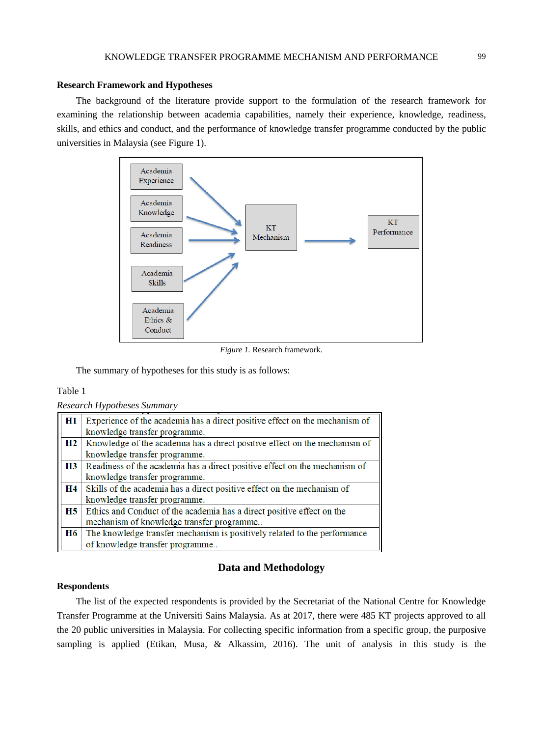## **Research Framework and Hypotheses**

The background of the literature provide support to the formulation of the research framework for examining the relationship between academia capabilities, namely their experience, knowledge, readiness, skills, and ethics and conduct, and the performance of knowledge transfer programme conducted by the public universities in Malaysia (see Figure 1).



*Figure 1.* Research framework.

The summary of hypotheses for this study is as follows:

## Table 1

| H1        | Experience of the academia has a direct positive effect on the mechanism of |
|-----------|-----------------------------------------------------------------------------|
|           | knowledge transfer programme.                                               |
| H2        | Knowledge of the academia has a direct positive effect on the mechanism of  |
|           | knowledge transfer programme.                                               |
| <b>H3</b> | Readiness of the academia has a direct positive effect on the mechanism of  |
|           | knowledge transfer programme.                                               |
| Η4        | Skills of the academia has a direct positive effect on the mechanism of     |
|           | knowledge transfer programme.                                               |
| H5        | Ethics and Conduct of the academia has a direct positive effect on the      |
|           | mechanism of knowledge transfer programme                                   |
| H6        | The knowledge transfer mechanism is positively related to the performance   |
|           | of knowledge transfer programme                                             |

# **Data and Methodology**

## **Respondents**

The list of the expected respondents is provided by the Secretariat of the National Centre for Knowledge Transfer Programme at the Universiti Sains Malaysia. As at 2017, there were 485 KT projects approved to all the 20 public universities in Malaysia. For collecting specific information from a specific group, the purposive sampling is applied (Etikan, Musa, & Alkassim, 2016). The unit of analysis in this study is the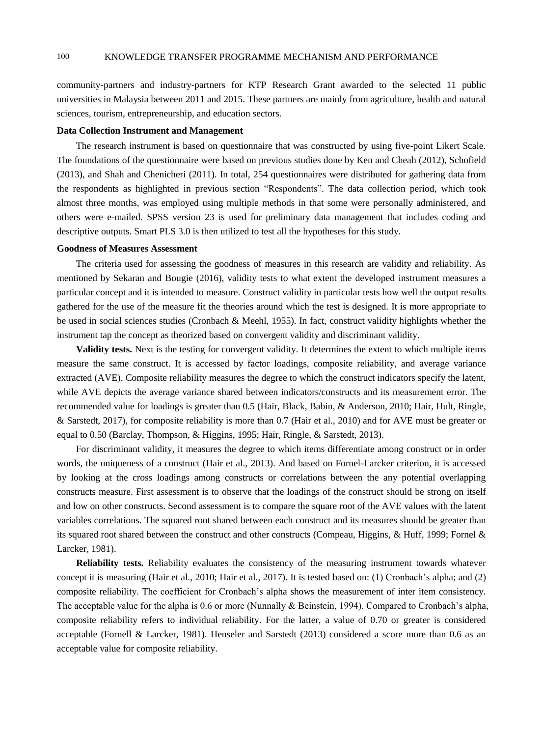community-partners and industry-partners for KTP Research Grant awarded to the selected 11 public universities in Malaysia between 2011 and 2015. These partners are mainly from agriculture, health and natural sciences, tourism, entrepreneurship, and education sectors.

### **Data Collection Instrument and Management**

The research instrument is based on questionnaire that was constructed by using five-point Likert Scale. The foundations of the questionnaire were based on previous studies done by Ken and Cheah (2012), Schofield (2013), and Shah and Chenicheri (2011). In total, 254 questionnaires were distributed for gathering data from the respondents as highlighted in previous section "Respondents". The data collection period, which took almost three months, was employed using multiple methods in that some were personally administered, and others were e-mailed. SPSS version 23 is used for preliminary data management that includes coding and descriptive outputs. Smart PLS 3.0 is then utilized to test all the hypotheses for this study.

### **Goodness of Measures Assessment**

The criteria used for assessing the goodness of measures in this research are validity and reliability. As mentioned by Sekaran and Bougie (2016), validity tests to what extent the developed instrument measures a particular concept and it is intended to measure. Construct validity in particular tests how well the output results gathered for the use of the measure fit the theories around which the test is designed. It is more appropriate to be used in social sciences studies (Cronbach & Meehl, 1955). In fact, construct validity highlights whether the instrument tap the concept as theorized based on convergent validity and discriminant validity.

**Validity tests.** Next is the testing for convergent validity. It determines the extent to which multiple items measure the same construct. It is accessed by factor loadings, composite reliability, and average variance extracted (AVE). Composite reliability measures the degree to which the construct indicators specify the latent, while AVE depicts the average variance shared between indicators/constructs and its measurement error. The recommended value for loadings is greater than 0.5 (Hair, Black, Babin, & Anderson, 2010; Hair, Hult, Ringle, & Sarstedt, 2017), for composite reliability is more than 0.7 (Hair et al., 2010) and for AVE must be greater or equal to 0.50 (Barclay, Thompson, & Higgins, 1995; Hair, Ringle, & Sarstedt, 2013).

For discriminant validity, it measures the degree to which items differentiate among construct or in order words, the uniqueness of a construct (Hair et al., 2013). And based on Fornel-Larcker criterion, it is accessed by looking at the cross loadings among constructs or correlations between the any potential overlapping constructs measure. First assessment is to observe that the loadings of the construct should be strong on itself and low on other constructs. Second assessment is to compare the square root of the AVE values with the latent variables correlations. The squared root shared between each construct and its measures should be greater than its squared root shared between the construct and other constructs (Compeau, Higgins, & Huff, 1999; Fornel & Larcker, 1981).

**Reliability tests.** Reliability evaluates the consistency of the measuring instrument towards whatever concept it is measuring (Hair et al., 2010; Hair et al., 2017). It is tested based on: (1) Cronbach's alpha; and (2) composite reliability. The coefficient for Cronbach's alpha shows the measurement of inter item consistency. The acceptable value for the alpha is 0.6 or more (Nunnally & Beinstein, 1994). Compared to Cronbach's alpha, composite reliability refers to individual reliability. For the latter, a value of 0.70 or greater is considered acceptable (Fornell & Larcker, 1981). Henseler and Sarstedt (2013) considered a score more than 0.6 as an acceptable value for composite reliability.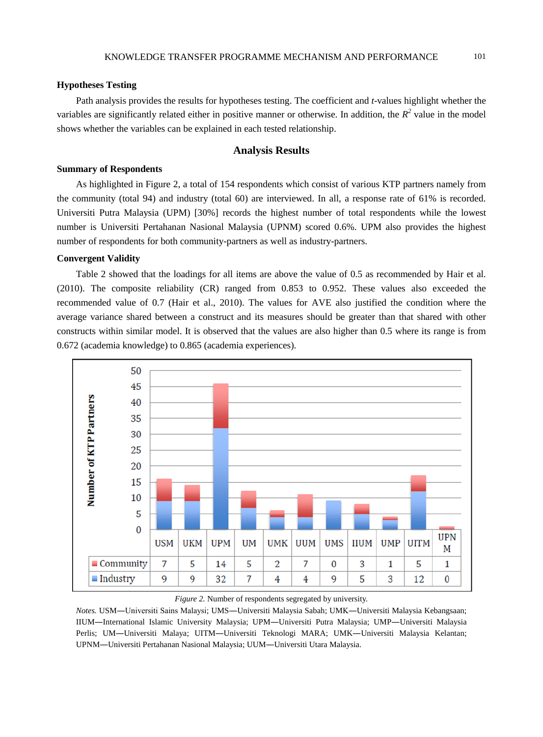## **Hypotheses Testing**

Path analysis provides the results for hypotheses testing. The coefficient and *t*-values highlight whether the variables are significantly related either in positive manner or otherwise. In addition, the  $R^2$  value in the model shows whether the variables can be explained in each tested relationship.

# **Analysis Results**

## **Summary of Respondents**

As highlighted in Figure 2, a total of 154 respondents which consist of various KTP partners namely from the community (total 94) and industry (total 60) are interviewed. In all, a response rate of 61% is recorded. Universiti Putra Malaysia (UPM) [30%] records the highest number of total respondents while the lowest number is Universiti Pertahanan Nasional Malaysia (UPNM) scored 0.6%. UPM also provides the highest number of respondents for both community-partners as well as industry-partners.

## **Convergent Validity**

Table 2 showed that the loadings for all items are above the value of 0.5 as recommended by Hair et al. (2010). The composite reliability (CR) ranged from 0.853 to 0.952. These values also exceeded the recommended value of 0.7 (Hair et al., 2010). The values for AVE also justified the condition where the average variance shared between a construct and its measures should be greater than that shared with other constructs within similar model. It is observed that the values are also higher than 0.5 where its range is from 0.672 (academia knowledge) to 0.865 (academia experiences).



*Figure 2.* Number of respondents segregated by university.

*Notes.* USM―Universiti Sains Malaysi; UMS―Universiti Malaysia Sabah; UMK―Universiti Malaysia Kebangsaan; IIUM―International Islamic University Malaysia; UPM―Universiti Putra Malaysia; UMP―Universiti Malaysia Perlis; UM―Universiti Malaya; UITM―Universiti Teknologi MARA; UMK―Universiti Malaysia Kelantan; UPNM―Universiti Pertahanan Nasional Malaysia; UUM―Universiti Utara Malaysia.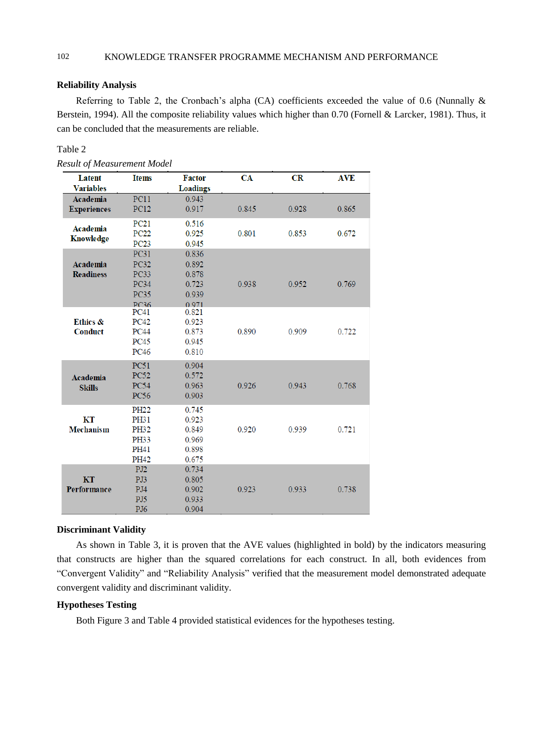## **Reliability Analysis**

Referring to Table 2, the Cronbach's alpha (CA) coefficients exceeded the value of 0.6 (Nunnally & Berstein, 1994). All the composite reliability values which higher than 0.70 (Fornell & Larcker, 1981). Thus, it can be concluded that the measurements are reliable.

## Table 2

| <b>Latent</b>              | <b>Items</b>               | <b>Factor</b>   | CA    | CR    | <b>AVE</b> |
|----------------------------|----------------------------|-----------------|-------|-------|------------|
| <b>Variables</b>           |                            | <b>Loadings</b> |       |       |            |
| Academia                   | PC11                       | 0.943           |       |       |            |
| <b>Experiences</b>         | <b>PC12</b>                | 0.917           | 0.845 | 0.928 | 0.865      |
| <b>Academia</b>            | PC21                       | 0.516           |       |       |            |
| Knowledge                  | <b>PC22</b>                | 0.925           | 0.801 | 0.853 | 0.672      |
|                            | <b>PC23</b>                | 0.945           |       |       |            |
|                            | <b>PC31</b>                | 0.836           |       |       |            |
| Academia                   | <b>PC32</b>                | 0.892           |       |       |            |
| <b>Readiness</b>           | <b>PC33</b>                | 0.878           |       |       |            |
|                            | <b>PC34</b>                | 0.723           | 0.938 | 0.952 | 0.769      |
|                            | <b>PC35</b>                | 0.939           |       |       |            |
|                            | <b>PC36</b>                | 0.971           |       |       |            |
|                            | <b>PC41</b>                | 0.821           |       |       |            |
| Ethics &<br><b>Conduct</b> | <b>PC42</b><br><b>PC44</b> | 0.923<br>0.873  | 0.890 | 0.909 |            |
|                            | <b>PC45</b>                | 0.945           |       |       | 0.722      |
|                            | <b>PC46</b>                | 0.810           |       |       |            |
|                            |                            |                 |       |       |            |
|                            | <b>PC51</b>                | 0.904           |       |       |            |
| Academia                   | <b>PC52</b>                | 0.572           |       |       |            |
| <b>Skills</b>              | <b>PC54</b>                | 0.963           | 0.926 | 0.943 | 0.768      |
|                            | <b>PC56</b>                | 0.903           |       |       |            |
|                            | <b>PH22</b>                | 0.745           |       |       |            |
| KT                         | PH31                       | 0.923           |       |       |            |
| <b>Mechanism</b>           | PH32                       | 0.849           | 0.920 | 0.939 | 0.721      |
|                            | PH33                       | 0.969           |       |       |            |
|                            | PH41                       | 0.898           |       |       |            |
|                            | <b>PH42</b>                | 0.675           |       |       |            |
|                            | PJ <sub>2</sub>            | 0.734           |       |       |            |
| KT                         | PJ3                        | 0.805           |       |       |            |
| Performance                | PJ4                        | 0.902           | 0.923 | 0.933 | 0.738      |
|                            | PJ5                        | 0.933           |       |       |            |
|                            | PJ <sub>6</sub>            | 0.904           |       |       |            |

## **Discriminant Validity**

As shown in Table 3, it is proven that the AVE values (highlighted in bold) by the indicators measuring that constructs are higher than the squared correlations for each construct. In all, both evidences from "Convergent Validity" and "Reliability Analysis" verified that the measurement model demonstrated adequate convergent validity and discriminant validity.

# **Hypotheses Testing**

Both Figure 3 and Table 4 provided statistical evidences for the hypotheses testing.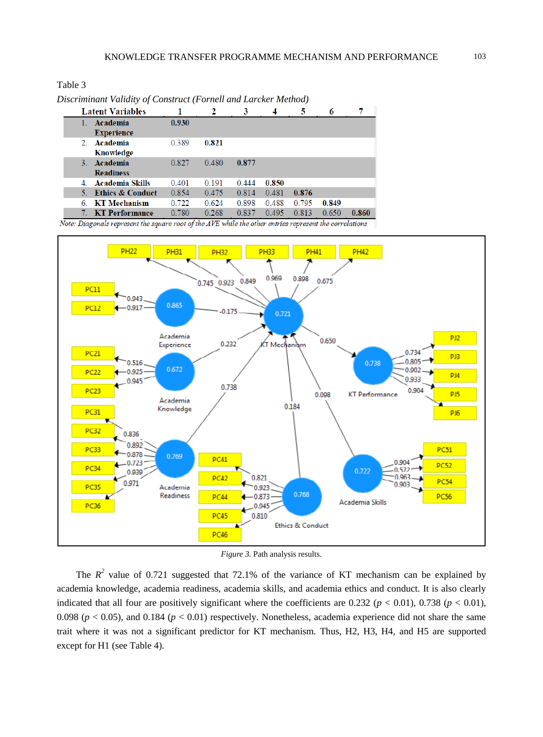Table 3

|    | <b>Latent Variables</b> |       | 2     | 3     | 4     | 5     | 6     | 7     |
|----|-------------------------|-------|-------|-------|-------|-------|-------|-------|
|    | Academia                | 0.930 |       |       |       |       |       |       |
|    | <b>Experience</b>       |       |       |       |       |       |       |       |
|    | 2. Academia             | 0.389 | 0.821 |       |       |       |       |       |
|    | Knowledge               |       |       |       |       |       |       |       |
| 3. | Academia                | 0.827 | 0.480 | 0.877 |       |       |       |       |
|    | <b>Readiness</b>        |       |       |       |       |       |       |       |
|    | 4. Academia Skills      | 0.401 | 0.191 | 0.444 | 0.850 |       |       |       |
|    | 5. Ethics & Conduct     | 0.854 | 0.475 | 0.814 | 0.481 | 0.876 |       |       |
|    | 6. KT Mechanism         | 0.722 | 0.624 | 0.898 | 0.488 | 0.795 | 0.849 |       |
| 7. | <b>KT Performance</b>   | 0.780 | 0.268 | 0.837 | 0.495 | 0.813 | 0.650 | 0.860 |

*Discriminant Validity of Construct (Fornell and Larcker Method)*

Note: Diagonals represent the square root of the AVE while the other entries represent the correlations



*Figure 3.* Path analysis results.

The  $R^2$  value of 0.721 suggested that 72.1% of the variance of KT mechanism can be explained by academia knowledge, academia readiness, academia skills, and academia ethics and conduct. It is also clearly indicated that all four are positively significant where the coefficients are  $0.232$  ( $p < 0.01$ ),  $0.738$  ( $p < 0.01$ ), 0.098 ( $p < 0.05$ ), and 0.184 ( $p < 0.01$ ) respectively. Nonetheless, academia experience did not share the same trait where it was not a significant predictor for KT mechanism. Thus, H2, H3, H4, and H5 are supported except for H1 (see Table 4).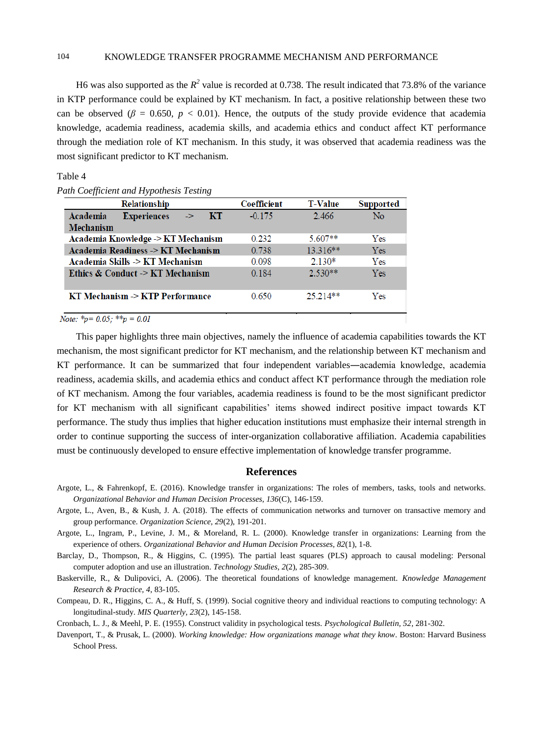## 104 KNOWLEDGE TRANSFER PROGRAMME MECHANISM AND PERFORMANCE

H6 was also supported as the  $R^2$  value is recorded at 0.738. The result indicated that 73.8% of the variance in KTP performance could be explained by KT mechanism. In fact, a positive relationship between these two can be observed ( $\beta$  = 0.650,  $p$  < 0.01). Hence, the outputs of the study provide evidence that academia knowledge, academia readiness, academia skills, and academia ethics and conduct affect KT performance through the mediation role of KT mechanism. In this study, it was observed that academia readiness was the most significant predictor to KT mechanism.

#### Table 4

## *Path Coefficient and Hypothesis Testing*

| <b>Relationship</b>                                    | Coefficient | <b>T-Value</b> | <b>Supported</b> |
|--------------------------------------------------------|-------------|----------------|------------------|
| <b>Experiences</b><br>Academia<br>KT.<br>$\rightarrow$ | $-0.175$    | 2.466          | N <sub>0</sub>   |
| <b>Mechanism</b>                                       |             |                |                  |
| Academia Knowledge -> KT Mechanism                     | 0.232       | $5.607**$      | Yes              |
| Academia Readiness -> KT Mechanism                     | 0.738       | $13.316**$     | <b>Yes</b>       |
| Academia Skills -> KT Mechanism                        | 0.098       | $2.130*$       | Yes              |
| Ethics & Conduct -> KT Mechanism                       | 0.184       | $2.530**$      | <b>Yes</b>       |
| KT Mechanism -> KTP Performance                        | 0.650       | $25.214**$     | Yes              |

*Note:*  ${}^*\!p = 0.05$ ;  ${}^*\!{}^*\!p = 0.01$ 

This paper highlights three main objectives, namely the influence of academia capabilities towards the KT mechanism, the most significant predictor for KT mechanism, and the relationship between KT mechanism and KT performance. It can be summarized that four independent variables―academia knowledge, academia readiness, academia skills, and academia ethics and conduct affect KT performance through the mediation role of KT mechanism. Among the four variables, academia readiness is found to be the most significant predictor for KT mechanism with all significant capabilities' items showed indirect positive impact towards KT performance. The study thus implies that higher education institutions must emphasize their internal strength in order to continue supporting the success of inter-organization collaborative affiliation. Academia capabilities must be continuously developed to ensure effective implementation of knowledge transfer programme.

## **References**

- Argote, L., & Fahrenkopf, E. (2016). Knowledge transfer in organizations: The roles of members, tasks, tools and networks. *Organizational Behavior and Human Decision Processes, 136*(C), 146-159.
- Argote, L., Aven, B., & Kush, J. A. (2018). The effects of communication networks and turnover on transactive memory and group performance. *Organization Science, 29*(2), 191-201.
- Argote, L., Ingram, P., Levine, J. M., & Moreland, R. L. (2000). Knowledge transfer in organizations: Learning from the experience of others. *Organizational Behavior and Human Decision Processes, 82*(1), 1-8.
- Barclay, D., Thompson, R., & Higgins, C. (1995). The partial least squares (PLS) approach to causal modeling: Personal computer adoption and use an illustration. *Technology Studies, 2*(2), 285-309.
- Baskerville, R., & Dulipovici, A. (2006). The theoretical foundations of knowledge management. *Knowledge Management Research & Practice, 4*, 83-105.
- Compeau, D. R., Higgins, C. A., & Huff, S. (1999). Social cognitive theory and individual reactions to computing technology: A longitudinal-study. *MIS Quarterly, 23*(2), 145-158.

Cronbach, L. J., & Meehl, P. E. (1955). Construct validity in psychological tests. *Psychological Bulletin, 52*, 281-302.

Davenport, T., & Prusak, L. (2000). *Working knowledge: How organizations manage what they know*. Boston: Harvard Business School Press.